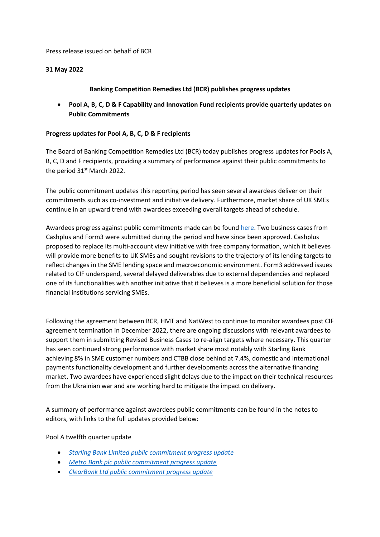Press release issued on behalf of BCR

## **31 May 2022**

## **Banking Competition Remedies Ltd (BCR) publishes progress updates**

• **Pool A, B, C, D & F Capability and Innovation Fund recipients provide quarterly updates on Public Commitments** 

## **Progress updates for Pool A, B, C, D & F recipients**

The Board of Banking Competition Remedies Ltd (BCR) today publishes progress updates for Pools A, B, C, D and F recipients, providing a summary of performance against their public commitments to the period 31<sup>st</sup> March 2022.

The public commitment updates this reporting period has seen several awardees deliver on their commitments such as co-investment and initiative delivery. Furthermore, market share of UK SMEs continue in an upward trend with awardees exceeding overall targets ahead of schedule.

Awardees progress against public commitments made can be found [here. T](https://bcr-ltd.com/public-commitments/)wo business cases from Cashplus and Form3 were submitted during the period and have since been approved. Cashplus proposed to replace its multi-account view initiative with free company formation, which it believes will provide more benefits to UK SMEs and sought revisions to the trajectory of its lending targets to reflect changes in the SME lending space and macroeconomic environment. Form3 addressed issues related to CIF underspend, several delayed deliverables due to external dependencies and replaced one of its functionalities with another initiative that it believes is a more beneficial solution for those financial institutions servicing SMEs.

Following the agreement between BCR, HMT and NatWest to continue to monitor awardees post CIF agreement termination in December 2022, there are ongoing discussions with relevant awardees to support them in submitting Revised Business Cases to re-align targets where necessary. This quarter has seen continued strong performance with market share most notably with Starling Bank achieving 8% in SME customer numbers and CTBB close behind at 7.4%, domestic and international payments functionality development and further developments across the alternative financing market. Two awardees have experienced slight delays due to the impact on their technical resources from the Ukrainian war and are working hard to mitigate the impact on delivery.

A summary of performance against awardees public commitments can be found in the notes to editors, with links to the full updates provided below:

#### Pool A twelfth quarter update

- *[Starling Bank Limited public commitment progress update](https://bcr-ltd.com/wp-content/uploads/2022/05/Starling-Bank-Limited-Public-Commitment-Update_Q122v1.0.pdf)*
- *[Metro Bank plc public commitment progress update](https://bcr-ltd.com/wp-content/uploads/2022/05/Metro-Bank-PLC-Public-Commitment-Update_Q122v1.0.pdf)*
- *[ClearBank Ltd public commitment progress update](https://bcr-ltd.com/wp-content/uploads/2022/05/ClearBank-Ltd_Public-Commitment-Update_Q122v1.0.pdf)*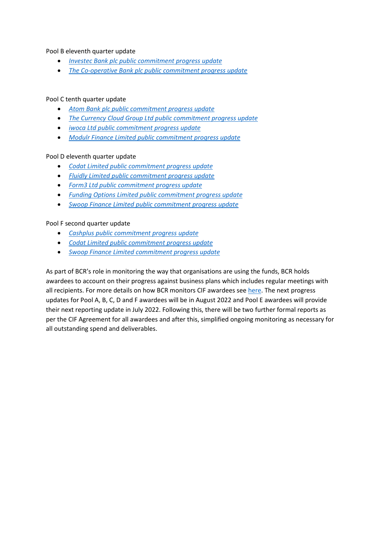## Pool B eleventh quarter update

- *[Investec Bank plc public commitment progress update](https://bcr-ltd.com/wp-content/uploads/2022/05/Investec-Bank-PLC_Public-Commitment-Update_b_Q122-v1.0.pdf)*
- *[The Co-operative Bank plc public commitment progress update](https://bcr-ltd.com/wp-content/uploads/2022/05/The-Co-operative-Bank-PLC_Public-Commitment-Update_b_Q122-v1.0.pdf)*

## Pool C tenth quarter update

- *[Atom Bank plc public commitment progress update](https://bcr-ltd.com/wp-content/uploads/2022/05/Atom-Bank_Public-Commitments-Q122-v2.0.pdf)*
- *[The Currency Cloud Group Ltd public commitment progress update](https://bcr-ltd.com/wp-content/uploads/2022/05/Currencycloud_Public-Commitments-Q122-v1.0.pdf)*
- *[iwoca Ltd public commitment progress update](https://bcr-ltd.com/wp-content/uploads/2022/05/iwoca-Ltd_Public-Commitments-Q122-v1.0.pdf)*
- *[Modulr Finance Limited public commitment progress update](https://bcr-ltd.com/wp-content/uploads/2022/05/Modulr-Finance_Public-Commitments-Q122-v1.0.pdf)*

#### Pool D eleventh quarter update

- *[Codat Limited public commitment progress update](https://bcr-ltd.com/wp-content/uploads/2022/05/Codat-Limited_Public-Commitment-Update_d_Q122v1.0.pdf)*
- *[Fluidly Limited public commitment progress update](https://bcr-ltd.com/wp-content/uploads/2022/05/Fluidly-Limited_Public-Commitment-Update_d_Q122v1.0.pdf)*
- *[Form3 Ltd public commitment progress update](https://bcr-ltd.com/wp-content/uploads/2022/05/Form3-Ltd_Public-Commitment-Update_d_Q122v1.0.pdf)*
- *[Funding Options Limited public commitment progress update](https://bcr-ltd.com/wp-content/uploads/2022/05/Funding-Options-Limited_Public-Commitment-Update_d_Q122v1.0.pdf)*
- *[Swoop Finance Limited public commitment progress update](https://bcr-ltd.com/wp-content/uploads/2022/05/Swoop-Finance_Public-Commitment-Update_d_Q122v1.0..pdf)*

#### Pool F second quarter update

- *[Cashplus public commitment progress update](https://bcr-ltd.com/wp-content/uploads/2022/05/Cashplus-Bank_Public-Commitment-Update_f_Q122v1.0.pdf)*
- *[Codat Limited public commitment progress update](https://bcr-ltd.com/wp-content/uploads/2022/05/Codat-Limited_Public-Commitment-Update_f_Q122v1.0.pdf)*
- *Swoop Finance Limited [commitment progress update](https://bcr-ltd.com/wp-content/uploads/2022/05/Swoop_Public-Commitment-Update_f_Q122v1.0.pdf)*

As part of BCR's role in monitoring the way that organisations are using the funds, BCR holds awardees to account on their progress against business plans which includes regular meetings with all recipients. For more details on how BCR monitors CIF awardees se[e here.](https://bcr-ltd.com/wp-content/uploads/2019/12/How-BCR-Monitors-Capability-and-Innovation-Fund-Awardees-v1.0.pdf) The next progress updates for Pool A, B, C, D and F awardees will be in August 2022 and Pool E awardees will provide their next reporting update in July 2022. Following this, there will be two further formal reports as per the CIF Agreement for all awardees and after this, simplified ongoing monitoring as necessary for all outstanding spend and deliverables.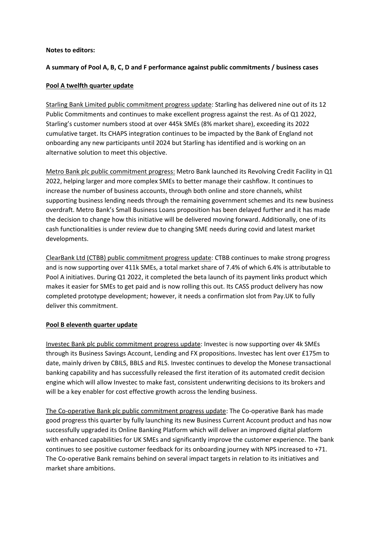## **Notes to editors:**

## **A summary of Pool A, B, C, D and F performance against public commitments / business cases**

## **Pool A twelfth quarter update**

Starling Bank Limited public commitment progress update: Starling has delivered nine out of its 12 Public Commitments and continues to make excellent progress against the rest. As of Q1 2022, Starling's customer numbers stood at over 445k SMEs (8% market share), exceeding its 2022 cumulative target. Its CHAPS integration continues to be impacted by the Bank of England not onboarding any new participants until 2024 but Starling has identified and is working on an alternative solution to meet this objective.

Metro Bank plc public commitment progress: Metro Bank launched its Revolving Credit Facility in Q1 2022, helping larger and more complex SMEs to better manage their cashflow. It continues to increase the number of business accounts, through both online and store channels, whilst supporting business lending needs through the remaining government schemes and its new business overdraft. Metro Bank's Small Business Loans proposition has been delayed further and it has made the decision to change how this initiative will be delivered moving forward. Additionally, one of its cash functionalities is under review due to changing SME needs during covid and latest market developments.

ClearBank Ltd (CTBB) public commitment progress update: CTBB continues to make strong progress and is now supporting over 411k SMEs, a total market share of 7.4% of which 6.4% is attributable to Pool A initiatives. During Q1 2022, it completed the beta launch of its payment links product which makes it easier for SMEs to get paid and is now rolling this out. Its CASS product delivery has now completed prototype development; however, it needs a confirmation slot from Pay.UK to fully deliver this commitment.

# **Pool B eleventh quarter update**

Investec Bank plc public commitment progress update: Investec is now supporting over 4k SMEs through its Business Savings Account, Lending and FX propositions. Investec has lent over £175m to date, mainly driven by CBILS, BBLS and RLS. Investec continues to develop the Monese transactional banking capability and has successfully released the first iteration of its automated credit decision engine which will allow Investec to make fast, consistent underwriting decisions to its brokers and will be a key enabler for cost effective growth across the lending business.

The Co-operative Bank plc public commitment progress update: The Co-operative Bank has made good progress this quarter by fully launching its new Business Current Account product and has now successfully upgraded its Online Banking Platform which will deliver an improved digital platform with enhanced capabilities for UK SMEs and significantly improve the customer experience. The bank continues to see positive customer feedback for its onboarding journey with NPS increased to +71. The Co-operative Bank remains behind on several impact targets in relation to its initiatives and market share ambitions.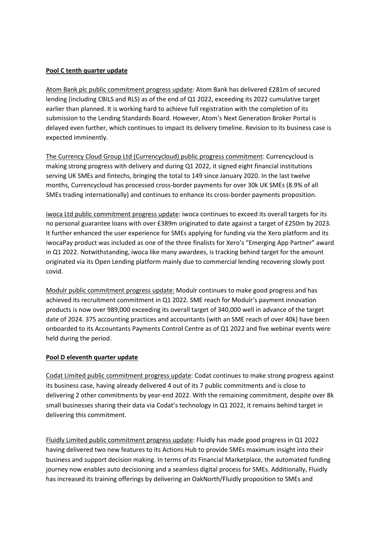## **Pool C tenth quarter update**

Atom Bank plc public commitment progress update: Atom Bank has delivered £281m of secured lending (including CBILS and RLS) as of the end of Q1 2022, exceeding its 2022 cumulative target earlier than planned. It is working hard to achieve full registration with the completion of its submission to the Lending Standards Board. However, Atom's Next Generation Broker Portal is delayed even further, which continues to impact its delivery timeline. Revision to its business case is expected imminently.

The Currency Cloud Group Ltd (Currencycloud) public progress commitment: Currencycloud is making strong progress with delivery and during Q1 2022, it signed eight financial institutions serving UK SMEs and fintechs, bringing the total to 149 since January 2020. In the last twelve months, Currencycloud has processed cross-border payments for over 30k UK SMEs (8.9% of all SMEs trading internationally) and continues to enhance its cross-border payments proposition.

iwoca Ltd public commitment progress update: iwoca continues to exceed its overall targets for its no personal guarantee loans with over £389m originated to date against a target of £250m by 2023. It further enhanced the user experience for SMEs applying for funding via the Xero platform and its iwocaPay product was included as one of the three finalists for Xero's "Emerging App Partner" award in Q1 2022. Notwithstanding, iwoca like many awardees, is tracking behind target for the amount originated via its Open Lending platform mainly due to commercial lending recovering slowly post covid.

Modulr public commitment progress update: Modulr continues to make good progress and has achieved its recruitment commitment in Q1 2022. SME reach for Modulr's payment innovation products is now over 989,000 exceeding its overall target of 340,000 well in advance of the target date of 2024. 375 accounting practices and accountants (with an SME reach of over 40k) have been onboarded to its Accountants Payments Control Centre as of Q1 2022 and five webinar events were held during the period.

#### **Pool D eleventh quarter update**

Codat Limited public commitment progress update: Codat continues to make strong progress against its business case, having already delivered 4 out of its 7 public commitments and is close to delivering 2 other commitments by year-end 2022. With the remaining commitment, despite over 8k small businesses sharing their data via Codat's technology in Q1 2022, it remains behind target in delivering this commitment.

Fluidly Limited public commitment progress update: Fluidly has made good progress in Q1 2022 having delivered two new features to its Actions Hub to provide SMEs maximum insight into their business and support decision making. In terms of its Financial Marketplace, the automated funding journey now enables auto decisioning and a seamless digital process for SMEs. Additionally, Fluidly has increased its training offerings by delivering an OakNorth/Fluidly proposition to SMEs and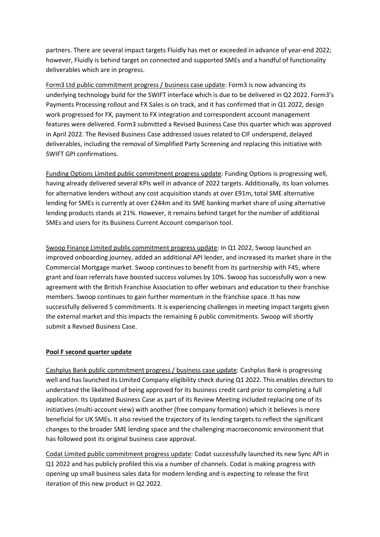partners. There are several impact targets Fluidly has met or exceeded in advance of year-end 2022; however, Fluidly is behind target on connected and supported SMEs and a handful of functionality deliverables which are in progress.

Form3 Ltd public commitment progress / business case update: Form3 is now advancing its underlying technology build for the SWIFT interface which is due to be delivered in Q2 2022. Form3's Payments Processing rollout and FX Sales is on track, and it has confirmed that in Q1 2022, design work progressed for FX, payment to FX integration and correspondent account management features were delivered. Form3 submitted a Revised Business Case this quarter which was approved in April 2022. The Revised Business Case addressed issues related to CIF underspend, delayed deliverables, including the removal of Simplified Party Screening and replacing this initiative with SWIFT GPI confirmations.

Funding Options Limited public commitment progress update: Funding Options is progressing well, having already delivered several KPIs well in advance of 2022 targets. Additionally, its loan volumes for alternative lenders without any cost acquisition stands at over £91m, total SME alternative lending for SMEs is currently at over £244m and its SME banking market share of using alternative lending products stands at 21%. However, it remains behind target for the number of additional SMEs and users for its Business Current Account comparison tool.

Swoop Finance Limited public commitment progress update: In Q1 2022, Swoop launched an improved onboarding journey, added an additional API lender, and increased its market share in the Commercial Mortgage market. Swoop continues to benefit from its partnership with F45, where grant and loan referrals have boosted success volumes by 10%. Swoop has successfully won a new agreement with the British Franchise Association to offer webinars and education to their franchise members. Swoop continues to gain further momentum in the franchise space. It has now successfully delivered 5 commitments. It is experiencing challenges in meeting impact targets given the external market and this impacts the remaining 6 public commitments. Swoop will shortly submit a Revised Business Case.

# **Pool F second quarter update**

Cashplus Bank public commitment progress / business case update: Cashplus Bank is progressing well and has launched its Limited Company eligibility check during Q1 2022. This enables directors to understand the likelihood of being approved for its business credit card prior to completing a full application. Its Updated Business Case as part of its Review Meeting included replacing one of its initiatives (multi-account view) with another (free company formation) which it believes is more beneficial for UK SMEs. It also revised the trajectory of its lending targets to reflect the significant changes to the broader SME lending space and the challenging macroeconomic environment that has followed post its original business case approval.

Codat Limited public commitment progress update: Codat successfully launched its new Sync API in Q1 2022 and has publicly profiled this via a number of channels. Codat is making progress with opening up small business sales data for modern lending and is expecting to release the first iteration of this new product in Q2 2022.